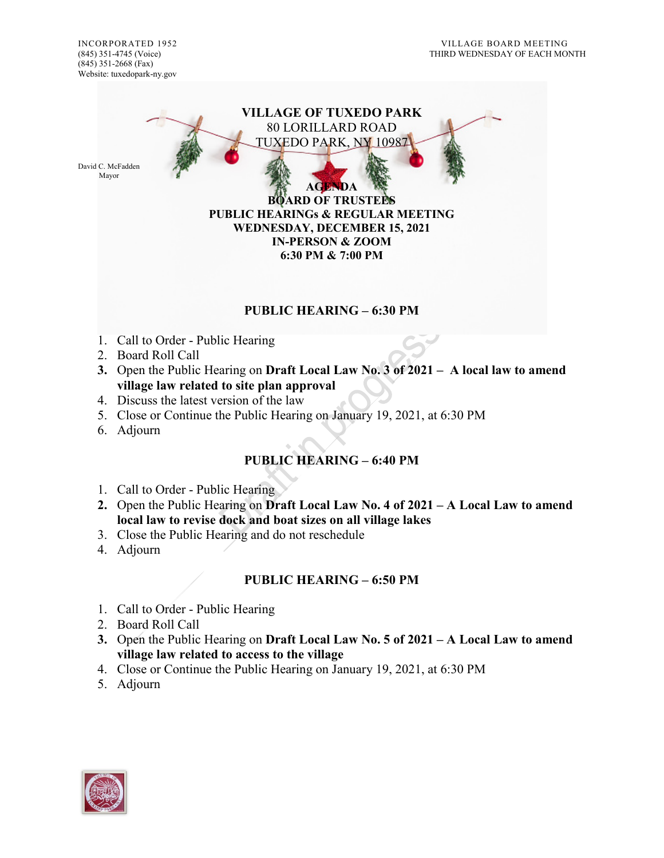

## **PUBLIC HEARING – 6:30 PM**

- 1. Call to Order Public Hearing
- 2. Board Roll Call
- **3.** Open the Public Hearing on **Draft Local Law No. 3 of 2021 – A local law to amend village law related to site plan approval**
- 4. Discuss the latest version of the law
- 5. Close or Continue the Public Hearing on January 19, 2021, at 6:30 PM
- 6. Adjourn

## **PUBLIC HEARING – 6:40 PM**

- 1. Call to Order Public Hearing
- **2.** Open the Public Hearing on **Draft Local Law No. 4 of 2021 – A Local Law to amend local law to revise dock and boat sizes on all village lakes**
- 3. Close the Public Hearing and do not reschedule
- 4. Adjourn

## **PUBLIC HEARING – 6:50 PM**

- 1. Call to Order Public Hearing
- 2. Board Roll Call
- **3.** Open the Public Hearing on **Draft Local Law No. 5 of 2021 – A Local Law to amend village law related to access to the village**
- 4. Close or Continue the Public Hearing on January 19, 2021, at 6:30 PM
- 5. Adjourn

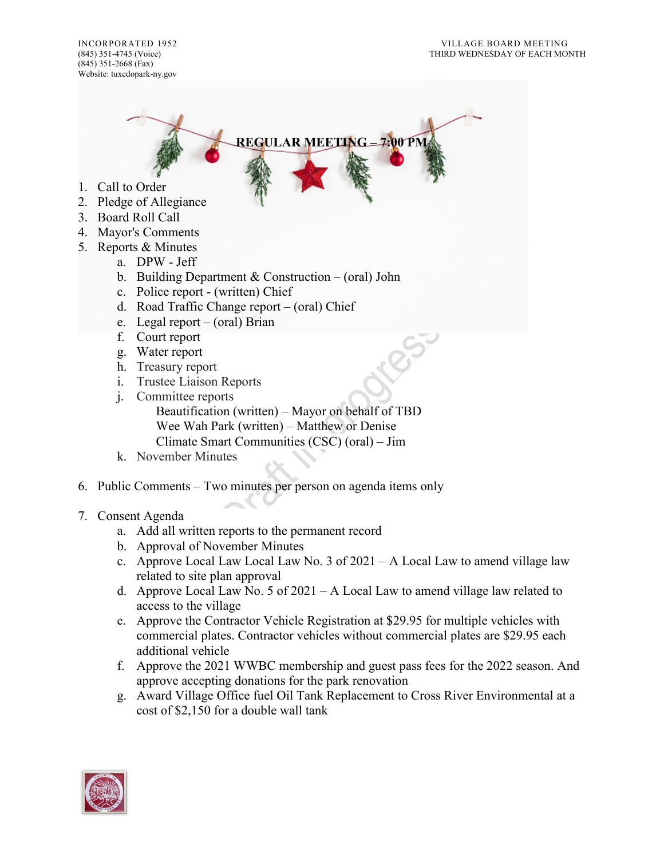(845) 351-2668 (Fax) Website: tuxedopark-ny.gov

**REGULAR MEETING – 7:00 PM**

- 1. Call to Order
- 2. Pledge of Allegiance
- 3. Board Roll Call
- 4. Mayor's Comments
- 5. Reports & Minutes
	- a. DPW Jeff
	- b. Building Department & Construction (oral) John
	- c. Police report (written) Chief
	- d. Road Traffic Change report (oral) Chief
	- e. Legal report (oral) Brian
	- f. Court report
	- g. Water report
	- h. Treasury report
	- i. Trustee Liaison Reports
	- j. Committee reports
		- Beautification (written) Mayor on behalf of TBD Wee Wah Park (written) – Matthew or Denise Climate Smart Communities (CSC) (oral) – Jim
	- k. November Minutes
- 6. Public Comments Two minutes per person on agenda items only
- 7. Consent Agenda
	- a. Add all written reports to the permanent record
	- b. Approval of November Minutes
	- c. Approve Local Law Local Law No. 3 of  $2021 A$  Local Law to amend village law related to site plan approval
	- d. Approve Local Law No. 5 of 2021 A Local Law to amend village law related to access to the village
	- e. Approve the Contractor Vehicle Registration at \$29.95 for multiple vehicles with commercial plates. Contractor vehicles without commercial plates are \$29.95 each additional vehicle
	- f. Approve the 2021 WWBC membership and guest pass fees for the 2022 season. And approve accepting donations for the park renovation
	- g. Award Village Office fuel Oil Tank Replacement to Cross River Environmental at a cost of \$2,150 for a double wall tank